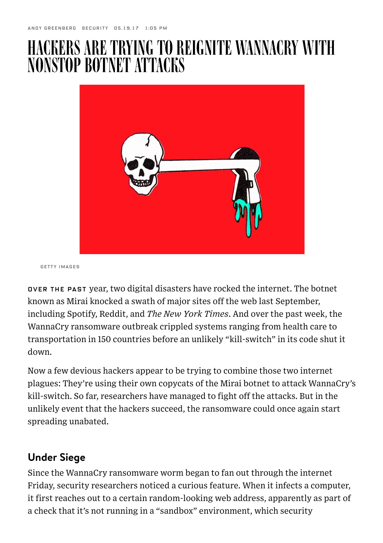## HACKERSARETRYINGTO REIGNITE WANNACRY WITH NONSTOP BOTNET ATTACKS



GETTY IMAGES

OVER THE PAST year, two digital disasters have rocked the internet. The botnet known as Mirai knocked a swath of major sites off the web last September, including Spotify, Reddit, and The New York Times. And over the past week, the [WannaCry ransomware outbreak](https://www.wired.com/2017/05/ransomware-meltdown-experts-warned/) crippled systems ranging from health care to transportation in 150 countries before an unlikely "kill-switch" in its code shut it down.

Now a few devious hackers appear to be trying to combine those two internet plagues: They're using their own copycats of the Mirai botnet to attack WannaCry's kill-switch. So far, researchers have managed to fight off the attacks. But in the unlikely event that the hackers succeed, the ransomware could once again start spreading unabated.

## Under Siege

Since the WannaCry ransomware worm began to fan out through the internet Friday, security researchers noticed a curious feature. When it infects a computer, it first reaches out to a certain random-looking web address, apparently as part of a check that it's not running in a "sandbox" environment, which security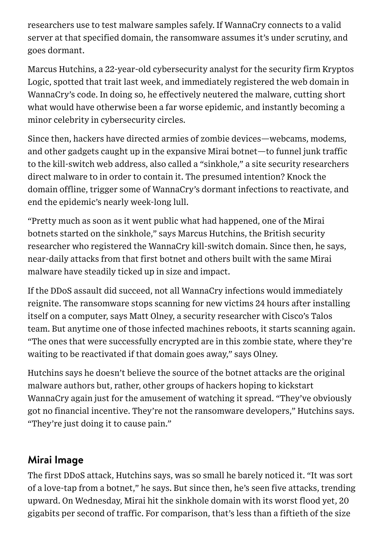researchers use to test malware samples safely. If WannaCry connects to a valid server at that specified domain, the ransomware assumes it's under scrutiny, and goes dormant.

Marcus Hutchins, a 22-year-old cybersecurity analyst for the security firm Kryptos Logic, spotted that trait last week, and immediately registered the web domain in WannaCry's code. In doing so, he effectively neutered the malware, cutting short what would have otherwise been a far worse epidemic, and instantly becoming a [minor celebrity](https://www.usnews.com/news/world/articles/2017-05-15/computer-expert-who-foiled-cyberattack-says-hes-no-hero) in cybersecurity circles.

Since then, hackers have directed armies of zombie devices—webcams, modems, and other gadgets caught up in the expansive Mirai botnet—to funnel junk traffic to the kill-switch web address, also called a "sinkhole," a site security researchers direct malware to in order to contain it. The presumed intention? Knock the domain offline, trigger some of WannaCry's dormant infections to reactivate, and end the epidemic's nearly week-long lull.

"Pretty much as soon as it went public what had happened, one of the Mirai botnets started on the sinkhole," says Marcus Hutchins, the British security researcher who [registered the WannaCry kill-switch domain.](https://www.wired.com/2017/05/accidental-kill-switch-slowed-fridays-massive-ransomware-attack/) Since then, he says, near-daily attacks from that first botnet and others built with the same Mirai malware have steadily ticked up in size and impact.

If the DDoS assault did succeed, not all WannaCry infections would immediately reignite. The ransomware stops scanning for new victims 24 hours after installing itself on a computer, says Matt Olney, a security researcher with Cisco's Talos team. But anytime one of those infected machines reboots, it starts scanning again. "The ones that were successfully encrypted are in this zombie state, where they're waiting to be reactivated if that domain goes away," says Olney.

Hutchins says he doesn't believe the source of the botnet attacks are the original malware authors but, rather, other groups of hackers hoping to kickstart WannaCry again just for the amusement of watching it spread. "They've obviously got no financial incentive. They're not the ransomware developers," Hutchins says. "They're just doing it to cause pain."

## Mirai Image

The first DDoS attack, Hutchins says, was so small he barely noticed it. "It was sort of a love-tap from a botnet," he says. But since then, he's seen five attacks, trending upward. On Wednesday, Mirai hit the sinkhole domain with its worst flood yet, 20 gigabits per second of traffic. For comparison, that's less than a fiftieth of the size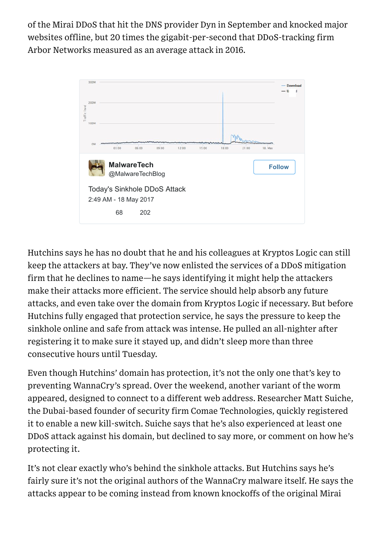of the [Mirai DDoS that hit the DNS provider Dyn in September](https://www.wired.com/2016/10/internet-outage-ddos-dns-dyn/) and knocked major websites offline, but 20 times the gigabit-per-second that DDoS-tracking firm Arbor Networks [measured](https://www.arbornetworks.com/arbor-networks-releases-global-ddos-attack-data-for-1h-2016) as an average attack in 2016.



Hutchins says he has no doubt that he and his colleagues at Kryptos Logic can still keep the attackers at bay. They've now enlisted the services of a DDoS mitigation firm that he declines to name—he says identifying it might help the attackers make their attacks more efficient. The service should help absorb any future attacks, and even take over the domain from Kryptos Logic if necessary. But before Hutchins fully engaged that protection service, he says the pressure to keep the sinkhole online and safe from attack was intense. He pulled an all-nighter after registering it to make sure it stayed up, and didn't sleep more than three consecutive hours until Tuesday.

Even though Hutchins' domain has protection, it's not the only one that's key to preventing WannaCry's spread. Over the weekend, another variant of the worm appeared, designed to connect to a different web address. Researcher Matt Suiche, the Dubai-based founder of security firm Comae Technologies, quickly registered it to enable a new kill-switch. Suiche says that he's also experienced at least one DDoS attack against his domain, but declined to say more, or comment on how he's protecting it.

It's not clear exactly who's behind the sinkhole attacks. But Hutchins says he's fairly sure it's not the original authors of the WannaCry malware itself. He says the attacks appear to be coming instead from known knockoffs of the original Mirai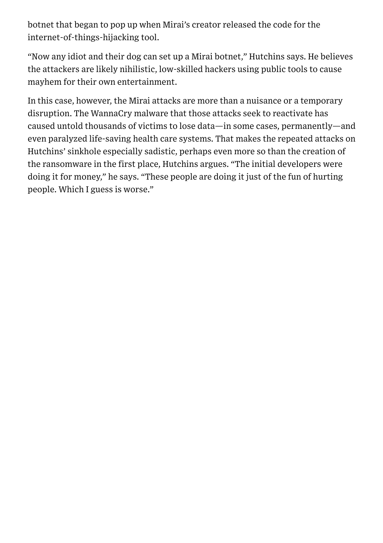botnet that began to pop up when [Mirai's creator released the code](https://www.wired.com/2016/12/botnet-broke-internet-isnt-going-away/) for the internet-of-things-hijacking tool.

"Now any idiot and their dog can set up a Mirai botnet," Hutchins says. He believes the attackers are likely nihilistic, low-skilled hackers using public tools to cause mayhem for their own entertainment.

In this case, however, the Mirai attacks are more than a nuisance or a temporary disruption. The WannaCry malware that those attacks seek to reactivate has caused untold thousands of victims to lose data—in some cases, permanently—and even paralyzed life-saving health care systems. That makes the repeated attacks on Hutchins' sinkhole especially sadistic, perhaps even more so than the creation of the ransomware in the first place, Hutchins argues. "The initial developers were doing it for money," he says. "These people are doing it just of the fun of hurting people. Which I guess is worse."